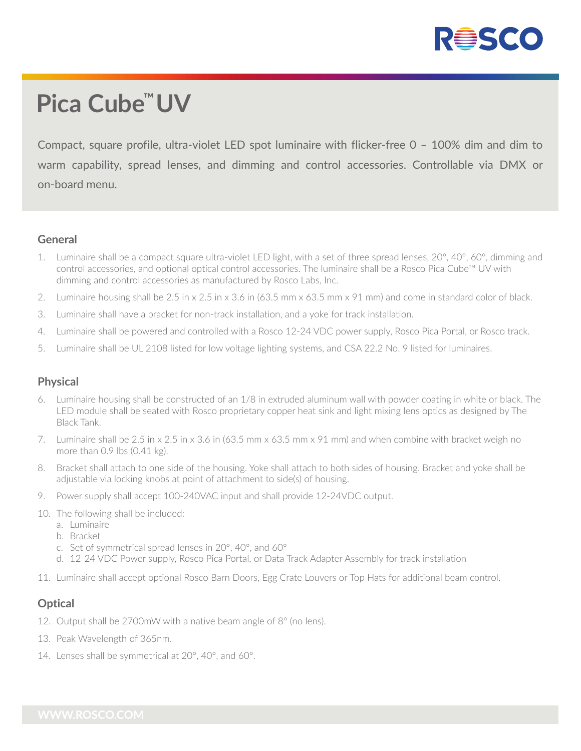

# **Pica Cube ™UV**

Compact, square profile, ultra-violet LED spot luminaire with flicker-free 0 – 100% dim and dim to warm capability, spread lenses, and dimming and control accessories. Controllable via DMX or on-board menu.

#### **General**

- 1. Luminaire shall be a compact square ultra-violet LED light, with a set of three spread lenses, 20°, 40°, 60°, dimming and control accessories, and optional optical control accessories. The luminaire shall be a Rosco Pica Cube™ UV with dimming and control accessories as manufactured by Rosco Labs, Inc.
- 2. Luminaire housing shall be 2.5 in x 2.5 in x 3.6 in (63.5 mm x 63.5 mm x 91 mm) and come in standard color of black.
- 3. Luminaire shall have a bracket for non-track installation, and a yoke for track installation.
- 4. Luminaire shall be powered and controlled with a Rosco 12-24 VDC power supply, Rosco Pica Portal, or Rosco track.
- 5. Luminaire shall be UL 2108 listed for low voltage lighting systems, and CSA 22.2 No. 9 listed for luminaires.

#### **Physical**

- Luminaire housing shall be constructed of an 1/8 in extruded aluminum wall with powder coating in white or black. The LED module shall be seated with Rosco proprietary copper heat sink and light mixing lens optics as designed by The Black Tank.
- 7. Luminaire shall be 2.5 in x 2.5 in x 3.6 in (63.5 mm x 63.5 mm x 91 mm) and when combine with bracket weigh no more than 0.9 lbs (0.41 kg).
- 8. Bracket shall attach to one side of the housing. Yoke shall attach to both sides of housing. Bracket and yoke shall be adjustable via locking knobs at point of attachment to side(s) of housing.
- 9. Power supply shall accept 100-240VAC input and shall provide 12-24VDC output.
- 10. The following shall be included:
	- a. Luminaire
	- b. Bracket
	- c. Set of symmetrical spread lenses in 20°, 40°, and 60°
	- d. 12-24 VDC Power supply, Rosco Pica Portal, or Data Track Adapter Assembly for track installation
- 11. Luminaire shall accept optional Rosco Barn Doors, Egg Crate Louvers or Top Hats for additional beam control.

#### **Optical**

- 12. Output shall be 2700mW with a native beam angle of 8° (no lens).
- 13. Peak Wavelength of 365nm.
- 14. Lenses shall be symmetrical at 20°, 40°, and 60°.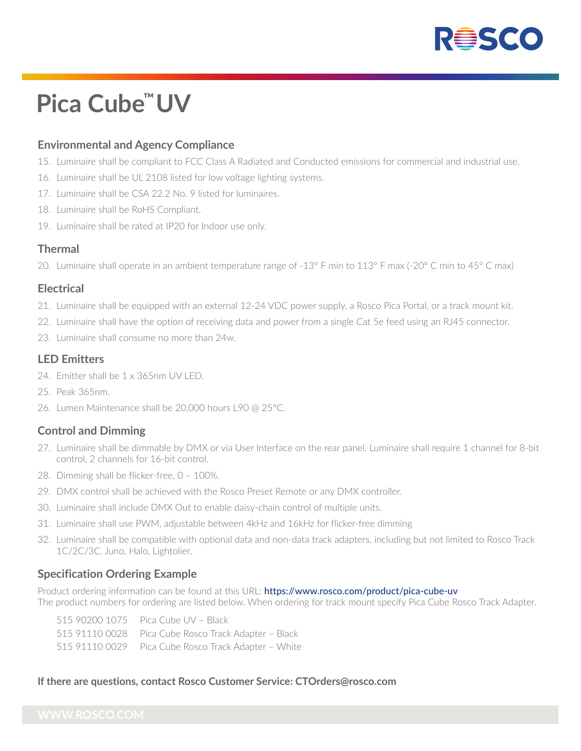

# **Pica Cube ™UV**

#### **Environmental and Agency Compliance**

- 15. Luminaire shall be compliant to FCC Class A Radiated and Conducted emissions for commercial and industrial use.
- 16. Luminaire shall be UL 2108 listed for low voltage lighting systems.
- 17. Luminaire shall be CSA 22.2 No. 9 listed for luminaires.
- 18. Luminaire shall be RoHS Compliant.
- 19. Luminaire shall be rated at IP20 for Indoor use only.

#### **Thermal**

20. Luminaire shall operate in an ambient temperature range of -13° F min to 113° F max (-20° C min to 45° C max)

#### **Electrical**

- 21. Luminaire shall be equipped with an external 12-24 VDC power supply, a Rosco Pica Portal, or a track mount kit.
- 22. Luminaire shall have the option of receiving data and power from a single Cat 5e feed using an RJ45 connector.
- 23. Luminaire shall consume no more than 24w.

#### **LED Emitters**

- 24. Emitter shall be 1 x 365nm UV LED.
- 25. Peak 365nm.
- 26. Lumen Maintenance shall be 20,000 hours L90 @ 25°C.

#### **Control and Dimming**

- 27. Luminaire shall be dimmable by DMX or via User Interface on the rear panel. Luminaire shall require 1 channel for 8-bit control, 2 channels for 16-bit control.
- 28. Dimming shall be flicker-free, 0 100%.
- 29. DMX control shall be achieved with the Rosco Preset Remote or any DMX controller.
- 30. Luminaire shall include DMX Out to enable daisy-chain control of multiple units.
- 31. Luminaire shall use PWM, adjustable between 4kHz and 16kHz for flicker-free dimming
- 32. Luminaire shall be compatible with optional data and non-data track adapters, including but not limited to Rosco Track 1C/2C/3C, Juno, Halo, Lightolier.

### **Specification Ordering Example**

Product ordering information can be found at this URL: **https://www.rosco.com/product/pica-cube-uv** The product numbers for ordering are listed below. When ordering for track mount specify Pica Cube Rosco Track Adapter.

| 515 90200 1075    Pica Cube UV - Black               |
|------------------------------------------------------|
| 515 91110 0028 Pica Cube Rosco Track Adapter - Black |
| 515 91110 0029 Pica Cube Rosco Track Adapter - White |

#### **If there are questions, contact Rosco Customer Service: CTOrders@rosco.com**